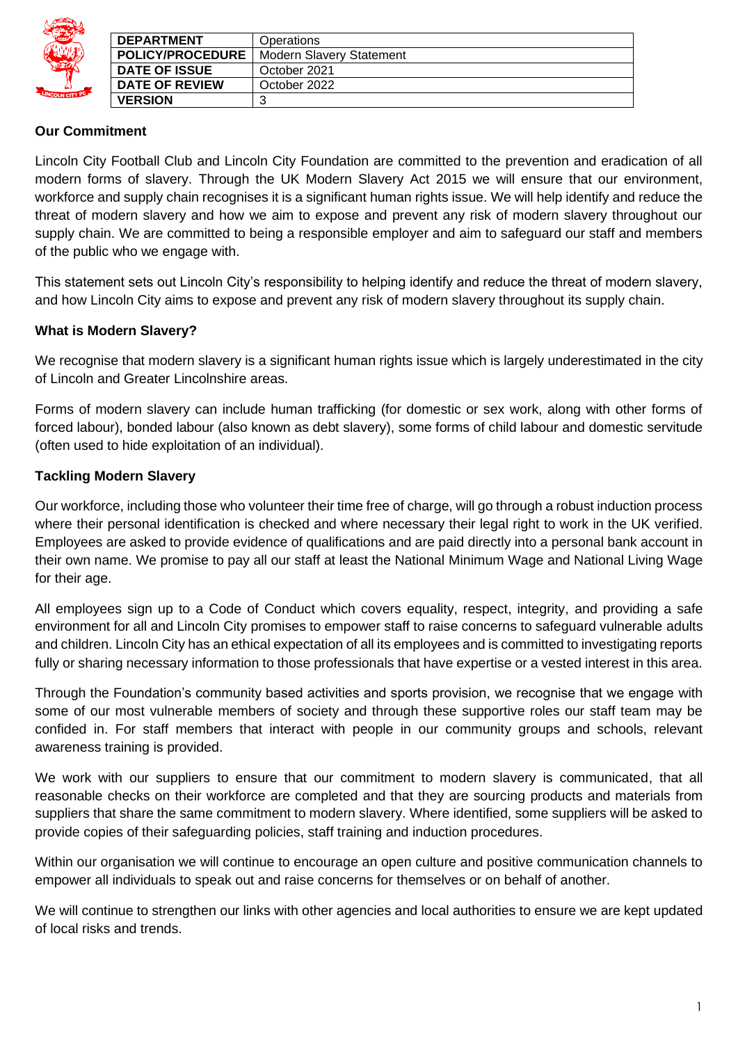|                 | <b>DEPARTMENT</b>       | Operations               |
|-----------------|-------------------------|--------------------------|
|                 | <b>POLICY/PROCEDURE</b> | Modern Slavery Statement |
|                 | <b>DATE OF ISSUE</b>    | October 2021             |
|                 | <b>DATE OF REVIEW</b>   | October 2022             |
| LINCOLN CITY FC | <b>VERSION</b>          |                          |

## **Our Commitment**

Lincoln City Football Club and Lincoln City Foundation are committed to the prevention and eradication of all modern forms of slavery. Through the UK Modern Slavery Act 2015 we will ensure that our environment, workforce and supply chain recognises it is a significant human rights issue. We will help identify and reduce the threat of modern slavery and how we aim to expose and prevent any risk of modern slavery throughout our supply chain. We are committed to being a responsible employer and aim to safeguard our staff and members of the public who we engage with.

This statement sets out Lincoln City's responsibility to helping identify and reduce the threat of modern slavery, and how Lincoln City aims to expose and prevent any risk of modern slavery throughout its supply chain.

## **What is Modern Slavery?**

We recognise that modern slavery is a significant human rights issue which is largely underestimated in the city of Lincoln and Greater Lincolnshire areas.

Forms of modern slavery can include human trafficking (for domestic or sex work, along with other forms of forced labour), bonded labour (also known as debt slavery), some forms of child labour and domestic servitude (often used to hide exploitation of an individual).

## **Tackling Modern Slavery**

Our workforce, including those who volunteer their time free of charge, will go through a robust induction process where their personal identification is checked and where necessary their legal right to work in the UK verified. Employees are asked to provide evidence of qualifications and are paid directly into a personal bank account in their own name. We promise to pay all our staff at least the National Minimum Wage and National Living Wage for their age.

All employees sign up to a Code of Conduct which covers equality, respect, integrity, and providing a safe environment for all and Lincoln City promises to empower staff to raise concerns to safeguard vulnerable adults and children. Lincoln City has an ethical expectation of all its employees and is committed to investigating reports fully or sharing necessary information to those professionals that have expertise or a vested interest in this area.

Through the Foundation's community based activities and sports provision, we recognise that we engage with some of our most vulnerable members of society and through these supportive roles our staff team may be confided in. For staff members that interact with people in our community groups and schools, relevant awareness training is provided.

We work with our suppliers to ensure that our commitment to modern slavery is communicated, that all reasonable checks on their workforce are completed and that they are sourcing products and materials from suppliers that share the same commitment to modern slavery. Where identified, some suppliers will be asked to provide copies of their safeguarding policies, staff training and induction procedures.

Within our organisation we will continue to encourage an open culture and positive communication channels to empower all individuals to speak out and raise concerns for themselves or on behalf of another.

We will continue to strengthen our links with other agencies and local authorities to ensure we are kept updated of local risks and trends.